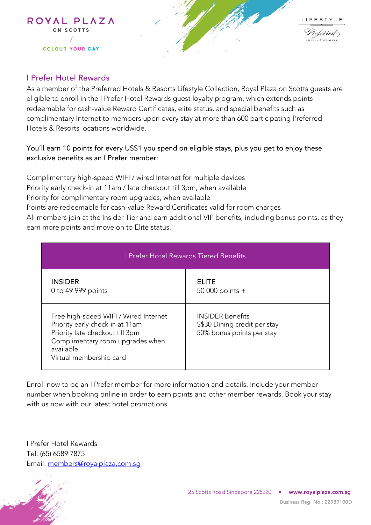



## I Prefer Hotel Rewards

As a member of the Preferred Hotels & Resorts Lifestyle Collection, Royal Plaza on Scotts guests are eligible to enroll in the I Prefer Hotel Rewards guest loyalty program, which extends points redeemable for cash-value Reward Certificates, elite status, and special benefits such as complimentary Internet to members upon every stay at more than 600 participating Preferred Hotels & Resorts locations worldwide.

## You'll earn 10 points for every US\$1 you spend on eligible stays, plus you get to enjoy these exclusive benefits as an I Prefer member:

Complimentary high-speed WIFI / wired Internet for multiple devices Priority early check-in at 11am / late checkout till 3pm, when available Priority for complimentary room upgrades, when available Points are redeemable for cash-value Reward Certificates valid for room charges All members join at the Insider Tier and earn additional VIP benefits, including bonus points, as they earn more points and move on to Elite status.

| I Prefer Hotel Rewards Tiered Benefits                                                                                                                                                  |                                                                                      |  |  |
|-----------------------------------------------------------------------------------------------------------------------------------------------------------------------------------------|--------------------------------------------------------------------------------------|--|--|
| <b>INSIDER</b><br>0 to 49 999 points                                                                                                                                                    | <b>ELITE</b><br>50 000 points $+$                                                    |  |  |
| Free high-speed WIFI / Wired Internet<br>Priority early check-in at 11am<br>Priority late checkout till 3pm<br>Complimentary room upgrades when<br>available<br>Virtual membership card | <b>INSIDER Benefits</b><br>S\$30 Dining credit per stay<br>50% bonus points per stay |  |  |

Enroll now to be an I Prefer member for more information and details. Include your member number when booking online in order to earn points and other member rewards. Book your stay with us now with our latest hotel promotions.

I Prefer Hotel Rewards Tel: (65) 6589 7875 Email: [members@royalplaza.com.sg](mailto:members@royalplaza.com.sg)

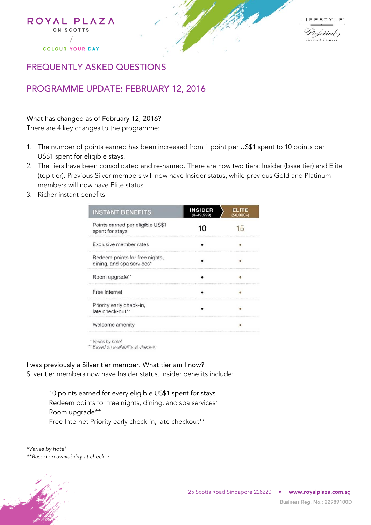



## FREQUENTLY ASKED QUESTIONS

## PROGRAMME UPDATE: FEBRUARY 12, 2016

What has changed as of February 12, 2016?

There are 4 key changes to the programme:

- 1. The number of points earned has been increased from 1 point per US\$1 spent to 10 points per US\$1 spent for eligible stays.
- 2. The tiers have been consolidated and re-named. There are now two tiers: Insider (base tier) and Elite (top tier). Previous Silver members will now have Insider status, while previous Gold and Platinum members will now have Elite status.
- 3. Richer instant benefits:

| <b>INSTANT BENEFITS</b>                                     | <b>INSIDER</b><br>$(0-49.999)$ | <b>ELITE</b><br>$(50,000+)$ |
|-------------------------------------------------------------|--------------------------------|-----------------------------|
| Points earned per eligible US\$1<br>spent for stays         |                                |                             |
| Exclusive member rates                                      |                                |                             |
| Redeem points for free nights,<br>dining, and spa services* |                                |                             |
| Room upgrade**                                              |                                |                             |
| Free Internet                                               |                                |                             |
| Priority early check-in,<br>late check-out**                |                                |                             |
| Welcome amenity                                             |                                |                             |

\* Varies by hotel

\*\* Based on availability at check-in

I was previously a Silver tier member. What tier am I now?

Silver tier members now have Insider status. Insider benefits include:

10 points earned for every eligible US\$1 spent for stays Redeem points for free nights, dining, and spa services\* Room upgrade\*\* Free Internet Priority early check-in, late checkout\*\*

*\*Varies by hotel \*\*Based on availability at check-in*



25 Scotts Road Singapore 228220 • **www.royalplaza.com.sg**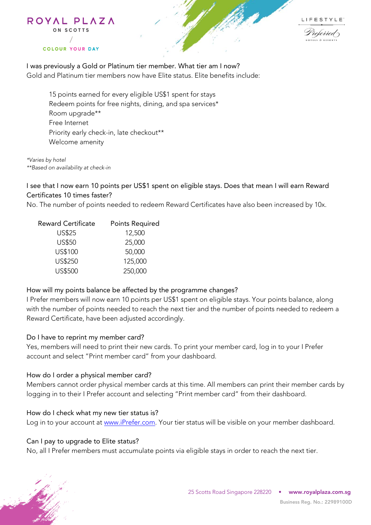



I was previously a Gold or Platinum tier member. What tier am I now? Gold and Platinum tier members now have Elite status. Elite benefits include:

15 points earned for every eligible US\$1 spent for stays Redeem points for free nights, dining, and spa services\* Room upgrade\*\* Free Internet Priority early check-in, late checkout\*\* Welcome amenity

*\*Varies by hotel \*\*Based on availability at check-in* 

ON SCOTTS

**COLOUR YOUR DAY** 

I see that I now earn 10 points per US\$1 spent on eligible stays. Does that mean I will earn Reward Certificates 10 times faster?

No. The number of points needed to redeem Reward Certificates have also been increased by 10x.

| <b>Reward Certificate</b> | <b>Points Required</b> |
|---------------------------|------------------------|
| <b>US\$25</b>             | 12,500                 |
| <b>US\$50</b>             | 25,000                 |
| US\$100                   | 50,000                 |
| US\$250                   | 125,000                |
| <b>US\$500</b>            | 250,000                |

### How will my points balance be affected by the programme changes?

I Prefer members will now earn 10 points per US\$1 spent on eligible stays. Your points balance, along with the number of points needed to reach the next tier and the number of points needed to redeem a Reward Certificate, have been adjusted accordingly.

### Do I have to reprint my member card?

Yes, members will need to print their new cards. To print your member card, log in to your I Prefer account and select "Print member card" from your dashboard.

### How do I order a physical member card?

Members cannot order physical member cards at this time. All members can print their member cards by logging in to their I Prefer account and selecting "Print member card" from their dashboard.

### How do I check what my new tier status is?

Log in to your account at [www.iPrefer.com.](http://www.iprefer.com/) Your tier status will be visible on your member dashboard.

### Can I pay to upgrade to Elite status?

No, all I Prefer members must accumulate points via eligible stays in order to reach the next tier.

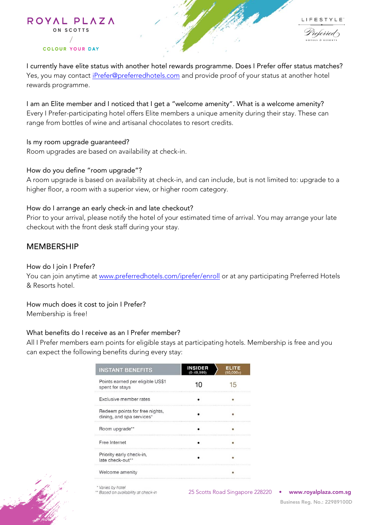

I currently have elite status with another hotel rewards programme. Does I Prefer offer status matches? Yes, you may contact *iPrefer@preferredhotels.com* and provide proof of your status at another hotel rewards programme.

I am an Elite member and I noticed that I get a "welcome amenity". What is a welcome amenity? Every I Prefer-participating hotel offers Elite members a unique amenity during their stay. These can range from bottles of wine and artisanal chocolates to resort credits.

Is my room upgrade guaranteed? Room upgrades are based on availability at check-in.

### How do you define "room upgrade"?

A room upgrade is based on availability at check-in, and can include, but is not limited to: upgrade to a higher floor, a room with a superior view, or higher room category.

## How do I arrange an early check-in and late checkout?

Prior to your arrival, please notify the hotel of your estimated time of arrival. You may arrange your late checkout with the front desk staff during your stay.

## MEMBERSHIP

### How do I join I Prefer?

You can join anytime at [www.preferredhotels.com/iprefer/enroll](http://www.preferredhotels.com/iprefer/enroll) or at any participating Preferred Hotels & Resorts hotel.

How much does it cost to join I Prefer? Membership is free!

### What benefits do I receive as an I Prefer member?

All I Prefer members earn points for eligible stays at participating hotels. Membership is free and you can expect the following benefits during every stay:

| <b>INSTANT BENEFITS</b>                                     | <b>INSIDER</b><br>$(0-49,999)$ | <b>ELITE</b><br>$(50,000+)$ |
|-------------------------------------------------------------|--------------------------------|-----------------------------|
| Points earned per eligible US\$1<br>spent for stays         |                                | ר! ו                        |
| Exclusive member rates                                      |                                |                             |
| Redeem points for free nights,<br>dining, and spa services* |                                |                             |
| Room upgrade**                                              |                                |                             |
| Free Internet                                               |                                |                             |
| Priority early check-in,<br>late check-out**                |                                |                             |
| Welcome amenity                                             |                                |                             |

Varies by hotel \*\* Based on availability at check-in

25 Scotts Road Singapore 228220 • **www.royalplaza.com.sg** 25 Road 228220 • **www.royalplaza.com.sg**

 **Business Reg. No.: 22989100D Business Reg. No.: 22989100D**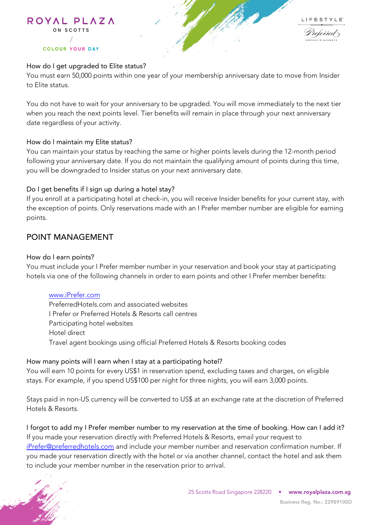

## How do I get upgraded to Elite status?

You must earn 50,000 points within one year of your membership anniversary date to move from Insider to Elite status.

You do not have to wait for your anniversary to be upgraded. You will move immediately to the next tier when you reach the next points level. Tier benefits will remain in place through your next anniversary date regardless of your activity.

### How do I maintain my Elite status?

You can maintain your status by reaching the same or higher points levels during the 12-month period following your anniversary date. If you do not maintain the qualifying amount of points during this time, you will be downgraded to Insider status on your next anniversary date.

## Do I get benefits if I sign up during a hotel stay?

If you enroll at a participating hotel at check-in, you will receive Insider benefits for your current stay, with the exception of points. Only reservations made with an I Prefer member number are eligible for earning points.

## POINT MANAGEMENT

### How do I earn points?

You must include your I Prefer member number in your reservation and book your stay at participating hotels via one of the following channels in order to earn points and other I Prefer member benefits:

### [www.iPrefer.com](http://www.iprefer.com/)

PreferredHotels.com and associated websites I Prefer or Preferred Hotels & Resorts call centres Participating hotel websites Hotel direct Travel agent bookings using official Preferred Hotels & Resorts booking codes

### How many points will I earn when I stay at a participating hotel?

You will earn 10 points for every US\$1 in reservation spend, excluding taxes and charges, on eligible stays. For example, if you spend US\$100 per night for three nights, you will earn 3,000 points.

Stays paid in non-US currency will be converted to US\$ at an exchange rate at the discretion of Preferred Hotels & Resorts.

I forgot to add my I Prefer member number to my reservation at the time of booking. How can I add it? If you made your reservation directly with Preferred Hotels & Resorts, email your request to [iPrefer@preferredhotels.com](mailto:iPrefer@preferredhotels.com) and include your member number and reservation confirmation number. If you made your reservation directly with the hotel or via another channel, contact the hotel and ask them to include your member number in the reservation prior to arrival.

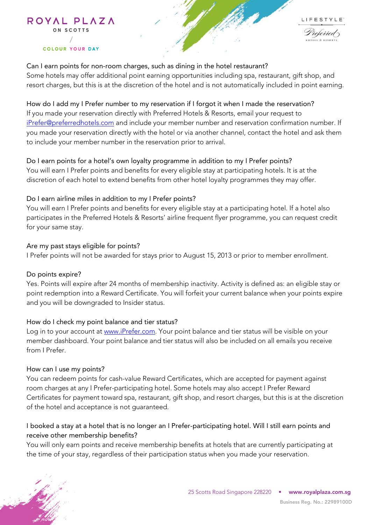

Can I earn points for non-room charges, such as dining in the hotel restaurant? Some hotels may offer additional point earning opportunities including spa, restaurant, gift shop, and resort charges, but this is at the discretion of the hotel and is not automatically included in point earning.

## How do I add my I Prefer number to my reservation if I forgot it when I made the reservation?

If you made your reservation directly with Preferred Hotels & Resorts, email your request to [iPrefer@preferredhotels.com](mailto:iPrefer@preferredhotels.com) and include your member number and reservation confirmation number. If you made your reservation directly with the hotel or via another channel, contact the hotel and ask them to include your member number in the reservation prior to arrival.

## Do I earn points for a hotel's own loyalty programme in addition to my I Prefer points?

You will earn I Prefer points and benefits for every eligible stay at participating hotels. It is at the discretion of each hotel to extend benefits from other hotel loyalty programmes they may offer.

## Do I earn airline miles in addition to my I Prefer points?

You will earn I Prefer points and benefits for every eligible stay at a participating hotel. If a hotel also participates in the Preferred Hotels & Resorts' airline frequent flyer programme, you can request credit for your same stay.

## Are my past stays eligible for points?

I Prefer points will not be awarded for stays prior to August 15, 2013 or prior to member enrollment.

### Do points expire?

Yes. Points will expire after 24 months of membership inactivity. Activity is defined as: an eligible stay or point redemption into a Reward Certificate. You will forfeit your current balance when your points expire and you will be downgraded to Insider status.

## How do I check my point balance and tier status?

Log in to your account at [www.iPrefer.com.](http://www.iprefer.com/) Your point balance and tier status will be visible on your member dashboard. Your point balance and tier status will also be included on all emails you receive from I Prefer.

### How can I use my points?

You can redeem points for cash-value Reward Certificates, which are accepted for payment against room charges at any I Prefer-participating hotel. Some hotels may also accept I Prefer Reward Certificates for payment toward spa, restaurant, gift shop, and resort charges, but this is at the discretion of the hotel and acceptance is not guaranteed.

## I booked a stay at a hotel that is no longer an I Prefer-participating hotel. Will I still earn points and receive other membership benefits?

You will only earn points and receive membership benefits at hotels that are currently participating at the time of your stay, regardless of their participation status when you made your reservation.

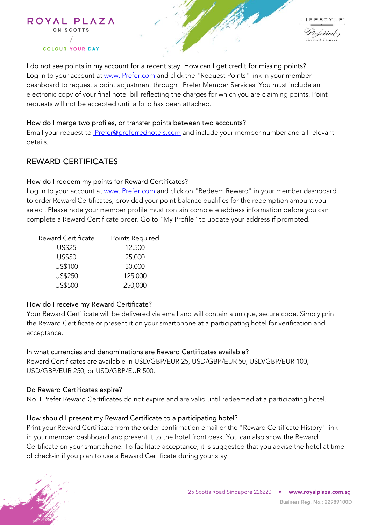

I do not see points in my account for a recent stay. How can I get credit for missing points? Log in to your account at [www.iPrefer.com](http://www.iprefer.com/) and click the "Request Points" link in your member dashboard to request a point adjustment through I Prefer Member Services. You must include an electronic copy of your final hotel bill reflecting the charges for which you are claiming points. Point requests will not be accepted until a folio has been attached.

### How do I merge two profiles, or transfer points between two accounts?

Email your request to *iPrefer@preferredhotels.com* and include your member number and all relevant details.

## REWARD CERTIFICATES

#### How do I redeem my points for Reward Certificates?

Log in to your account at [www.iPrefer.com](http://www.iprefer.com/) and click on "Redeem Reward" in your member dashboard to order Reward Certificates, provided your point balance qualifies for the redemption amount you select. Please note your member profile must contain complete address information before you can complete a Reward Certificate order. Go to "My Profile" to update your address if prompted.

| <b>Reward Certificate</b> | Points Required |
|---------------------------|-----------------|
| <b>US\$25</b>             | 12,500          |
| <b>US\$50</b>             | 25,000          |
| US\$100                   | 50,000          |
| US\$250                   | 125,000         |
| <b>US\$500</b>            | 250,000         |

### How do I receive my Reward Certificate?

Your Reward Certificate will be delivered via email and will contain a unique, secure code. Simply print the Reward Certificate or present it on your smartphone at a participating hotel for verification and acceptance.

In what currencies and denominations are Reward Certificates available? Reward Certificates are available in USD/GBP/EUR 25, USD/GBP/EUR 50, USD/GBP/EUR 100, USD/GBP/EUR 250, or USD/GBP/EUR 500.

#### Do Reward Certificates expire?

No. I Prefer Reward Certificates do not expire and are valid until redeemed at a participating hotel.

### How should I present my Reward Certificate to a participating hotel?

Print your Reward Certificate from the order confirmation email or the "Reward Certificate History" link in your member dashboard and present it to the hotel front desk. You can also show the Reward Certificate on your smartphone. To facilitate acceptance, it is suggested that you advise the hotel at time of check-in if you plan to use a Reward Certificate during your stay.